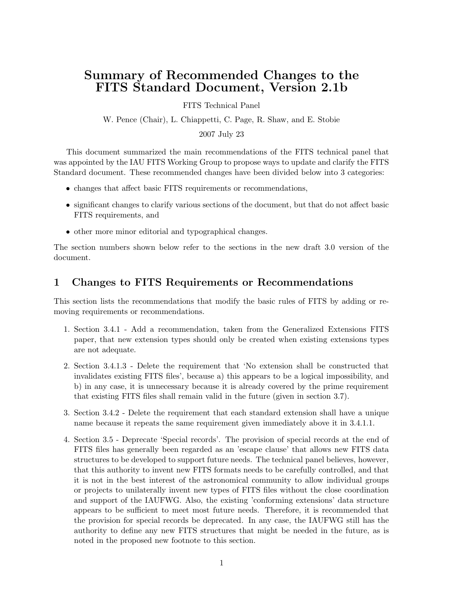## Summary of Recommended Changes to the FITS Standard Document, Version 2.1b

FITS Technical Panel

W. Pence (Chair), L. Chiappetti, C. Page, R. Shaw, and E. Stobie

2007 July 23

This document summarized the main recommendations of the FITS technical panel that was appointed by the IAU FITS Working Group to propose ways to update and clarify the FITS Standard document. These recommended changes have been divided below into 3 categories:

- changes that affect basic FITS requirements or recommendations,
- significant changes to clarify various sections of the document, but that do not affect basic FITS requirements, and
- other more minor editorial and typographical changes.

The section numbers shown below refer to the sections in the new draft 3.0 version of the document.

## 1 Changes to FITS Requirements or Recommendations

This section lists the recommendations that modify the basic rules of FITS by adding or removing requirements or recommendations.

- 1. Section 3.4.1 Add a recommendation, taken from the Generalized Extensions FITS paper, that new extension types should only be created when existing extensions types are not adequate.
- 2. Section 3.4.1.3 Delete the requirement that 'No extension shall be constructed that invalidates existing FITS files', because a) this appears to be a logical impossibility, and b) in any case, it is unnecessary because it is already covered by the prime requirement that existing FITS files shall remain valid in the future (given in section 3.7).
- 3. Section 3.4.2 Delete the requirement that each standard extension shall have a unique name because it repeats the same requirement given immediately above it in 3.4.1.1.
- 4. Section 3.5 Deprecate 'Special records'. The provision of special records at the end of FITS files has generally been regarded as an 'escape clause' that allows new FITS data structures to be developed to support future needs. The technical panel believes, however, that this authority to invent new FITS formats needs to be carefully controlled, and that it is not in the best interest of the astronomical community to allow individual groups or projects to unilaterally invent new types of FITS files without the close coordination and support of the IAUFWG. Also, the existing 'conforming extensions' data structure appears to be sufficient to meet most future needs. Therefore, it is recommended that the provision for special records be deprecated. In any case, the IAUFWG still has the authority to define any new FITS structures that might be needed in the future, as is noted in the proposed new footnote to this section.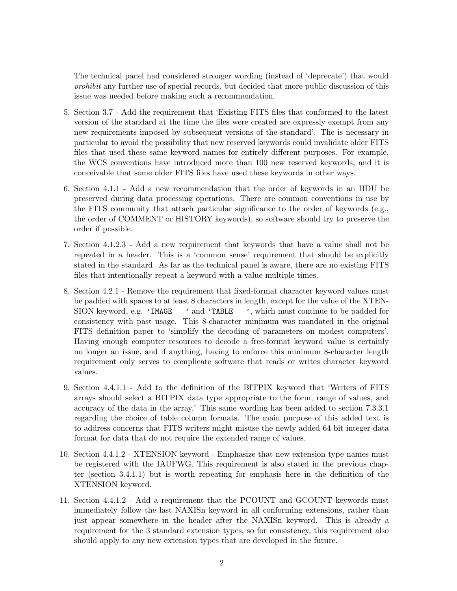The technical panel had considered stronger wording (instead of 'deprecate') that would prohibit any further use of special records, but decided that more public discussion of this issue was needed before making such a recommendation.

- 5. Section 3.7 Add the requirement that 'Existing FITS files that conformed to the latest version of the standard at the time the files were created are expressly exempt from any new requirements imposed by subsequent versions of the standard'. The is necessary in particular to avoid the possibility that new reserved keywords could invalidate older FITS files that used these same keyword names for entirely different purposes. For example, the WCS conventions have introduced more than 100 new reserved keywords, and it is conceivable that some older FITS files have used these keywords in other ways.
- 6. Section 4.1.1 Add a new recommendation that the order of keywords in an HDU be preserved during data processing operations. There are common conventions in use by the FITS community that attach particular significance to the order of keywords (e.g., the order of COMMENT or HISTORY keywords), so software should try to preserve the order if possible.
- 7. Section 4.1.2.3 Add a new requirement that keywords that have a value shall not be repeated in a header. This is a 'common sense' requirement that should be explicitly stated in the standard. As far as the technical panel is aware, there are no existing FITS files that intentionally repeat a keyword with a value multiple times.
- 8. Section 4.2.1 Remove the requirement that fixed-format character keyword values must be padded with spaces to at least 8 characters in length, except for the value of the XTEN-SION keyword, e.g. 'IMAGE ' and 'TABLE ', which must continue to be padded for consistency with past usage. This 8-character minimum was mandated in the original FITS definition paper to 'simplify the decoding of parameters on modest computers'. Having enough computer resources to decode a free-format keyword value is certainly no longer an issue, and if anything, having to enforce this minimum 8-character length requirement only serves to complicate software that reads or writes character keyword values.
- 9. Section 4.4.1.1 Add to the definition of the BITPIX keyword that 'Writers of FITS arrays should select a BITPIX data type appropriate to the form, range of values, and accuracy of the data in the array.' This same wording has been added to section 7.3.3.1 regarding the choice of table column formats. The main purpose of this added text is to address concerns that FITS writers might misuse the newly added 64-bit integer data format for data that do not require the extended range of values.
- 10. Section 4.4.1.2 XTENSION keyword Emphasize that new extension type names must be registered with the IAUFWG. This requirement is also stated in the previous chapter (section 3.4.1.1) but is worth repeating for emphasis here in the definition of the XTENSION keyword.
- 11. Section 4.4.1.2 Add a requirement that the PCOUNT and GCOUNT keywords must immediately follow the last NAXISn keyword in all conforming extensions, rather than just appear somewhere in the header after the NAXISn keyword. This is already a requirement for the 3 standard extension types, so for consistency, this requirement also should apply to any new extension types that are developed in the future.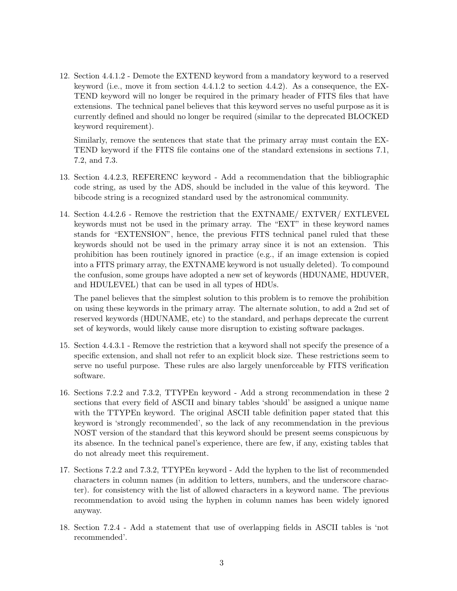12. Section 4.4.1.2 - Demote the EXTEND keyword from a mandatory keyword to a reserved keyword (i.e., move it from section 4.4.1.2 to section 4.4.2). As a consequence, the EX-TEND keyword will no longer be required in the primary header of FITS files that have extensions. The technical panel believes that this keyword serves no useful purpose as it is currently defined and should no longer be required (similar to the deprecated BLOCKED keyword requirement).

Similarly, remove the sentences that state that the primary array must contain the EX-TEND keyword if the FITS file contains one of the standard extensions in sections 7.1, 7.2, and 7.3.

- 13. Section 4.4.2.3, REFERENC keyword Add a recommendation that the bibliographic code string, as used by the ADS, should be included in the value of this keyword. The bibcode string is a recognized standard used by the astronomical community.
- 14. Section 4.4.2.6 Remove the restriction that the EXTNAME/ EXTVER/ EXTLEVEL keywords must not be used in the primary array. The "EXT" in these keyword names stands for "EXTENSION", hence, the previous FITS technical panel ruled that these keywords should not be used in the primary array since it is not an extension. This prohibition has been routinely ignored in practice (e.g., if an image extension is copied into a FITS primary array, the EXTNAME keyword is not usually deleted). To compound the confusion, some groups have adopted a new set of keywords (HDUNAME, HDUVER, and HDULEVEL) that can be used in all types of HDUs.

The panel believes that the simplest solution to this problem is to remove the prohibition on using these keywords in the primary array. The alternate solution, to add a 2nd set of reserved keywords (HDUNAME, etc) to the standard, and perhaps deprecate the current set of keywords, would likely cause more disruption to existing software packages.

- 15. Section 4.4.3.1 Remove the restriction that a keyword shall not specify the presence of a specific extension, and shall not refer to an explicit block size. These restrictions seem to serve no useful purpose. These rules are also largely unenforceable by FITS verification software.
- 16. Sections 7.2.2 and 7.3.2, TTYPEn keyword Add a strong recommendation in these 2 sections that every field of ASCII and binary tables 'should' be assigned a unique name with the TTYPEn keyword. The original ASCII table definition paper stated that this keyword is 'strongly recommended', so the lack of any recommendation in the previous NOST version of the standard that this keyword should be present seems conspicuous by its absence. In the technical panel's experience, there are few, if any, existing tables that do not already meet this requirement.
- 17. Sections 7.2.2 and 7.3.2, TTYPEn keyword Add the hyphen to the list of recommended characters in column names (in addition to letters, numbers, and the underscore character). for consistency with the list of allowed characters in a keyword name. The previous recommendation to avoid using the hyphen in column names has been widely ignored anyway.
- 18. Section 7.2.4 Add a statement that use of overlapping fields in ASCII tables is 'not recommended'.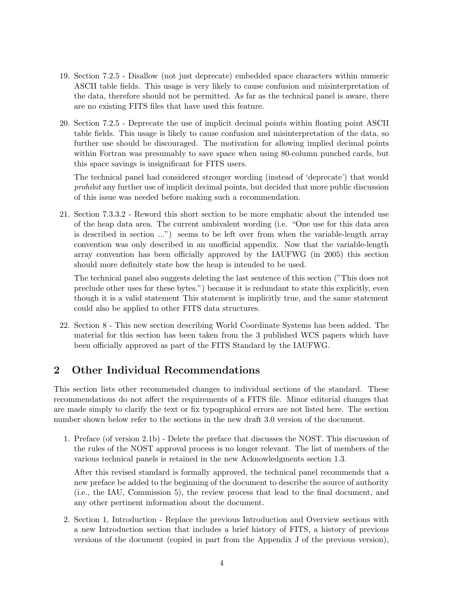- 19. Section 7.2.5 Disallow (not just deprecate) embedded space characters within numeric ASCII table fields. This usage is very likely to cause confusion and misinterpretation of the data, therefore should not be permitted. As far as the technical panel is aware, there are no existing FITS files that have used this feature.
- 20. Section 7.2.5 Deprecate the use of implicit decimal points within floating point ASCII table fields. This usage is likely to cause confusion and misinterpretation of the data, so further use should be discouraged. The motivation for allowing implied decimal points within Fortran was presumably to save space when using 80-column punched cards, but this space savings is insignificant for FITS users.

The technical panel had considered stronger wording (instead of 'deprecate') that would prohibit any further use of implicit decimal points, but decided that more public discussion of this issue was needed before making such a recommendation.

21. Section 7.3.3.2 - Reword this short section to be more emphatic about the intended use of the heap data area. The current ambivalent wording (i.e. "One use for this data area is described in section ...") seems to be left over from when the variable-length array convention was only described in an unofficial appendix. Now that the variable-length array convention has been officially approved by the IAUFWG (in 2005) this section should more definitely state how the heap is intended to be used.

The technical panel also suggests deleting the last sentence of this section ("This does not preclude other uses for these bytes.") because it is redundant to state this explicitly, even though it is a valid statement This statement is implicitly true, and the same statement could also be applied to other FITS data structures.

22. Section 8 - This new section describing World Coordinate Systems has been added. The material for this section has been taken from the 3 published WCS papers which have been officially approved as part of the FITS Standard by the IAUFWG.

## 2 Other Individual Recommendations

This section lists other recommended changes to individual sections of the standard. These recommendations do not affect the requirements of a FITS file. Minor editorial changes that are made simply to clarify the text or fix typographical errors are not listed here. The section number shown below refer to the sections in the new draft 3.0 version of the document.

1. Preface (of version 2.1b) - Delete the preface that discusses the NOST. This discussion of the rules of the NOST approval process is no longer relevant. The list of members of the various technical panels is retained in the new Acknowledgments section 1.3.

After this revised standard is formally approved, the technical panel recommends that a new preface be added to the beginning of the document to describe the source of authority (i.e., the IAU, Commission 5), the review process that lead to the final document, and any other pertinent information about the document.

2. Section 1, Introduction - Replace the previous Introduction and Overview sections with a new Introduction section that includes a brief history of FITS, a history of previous versions of the document (copied in part from the Appendix J of the previous version),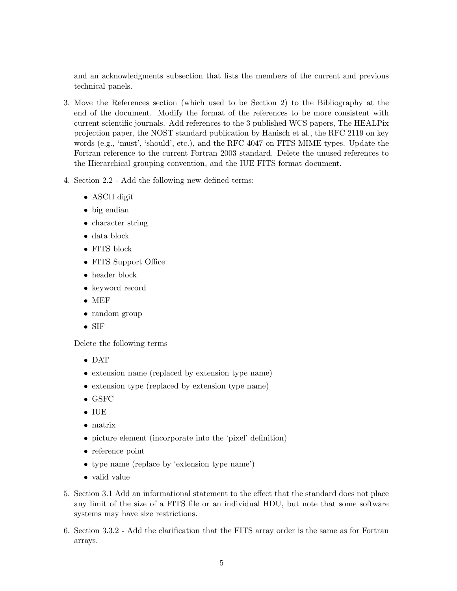and an acknowledgments subsection that lists the members of the current and previous technical panels.

- 3. Move the References section (which used to be Section 2) to the Bibliography at the end of the document. Modify the format of the references to be more consistent with current scientific journals. Add references to the 3 published WCS papers, The HEALPix projection paper, the NOST standard publication by Hanisch et al., the RFC 2119 on key words (e.g., 'must', 'should', etc.), and the RFC 4047 on FITS MIME types. Update the Fortran reference to the current Fortran 2003 standard. Delete the unused references to the Hierarchical grouping convention, and the IUE FITS format document.
- 4. Section 2.2 Add the following new defined terms:
	- ASCII digit
	- big endian
	- character string
	- data block
	- FITS block
	- FITS Support Office
	- header block
	- keyword record
	- MEF
	- random group
	- SIF

Delete the following terms

- DAT
- extension name (replaced by extension type name)
- extension type (replaced by extension type name)
- GSFC
- IUE
- matrix
- picture element (incorporate into the 'pixel' definition)
- reference point
- type name (replace by 'extension type name')
- valid value
- 5. Section 3.1 Add an informational statement to the effect that the standard does not place any limit of the size of a FITS file or an individual HDU, but note that some software systems may have size restrictions.
- 6. Section 3.3.2 Add the clarification that the FITS array order is the same as for Fortran arrays.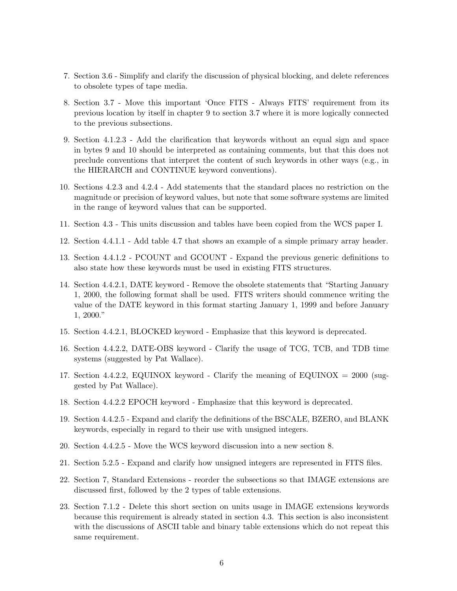- 7. Section 3.6 Simplify and clarify the discussion of physical blocking, and delete references to obsolete types of tape media.
- 8. Section 3.7 Move this important 'Once FITS Always FITS' requirement from its previous location by itself in chapter 9 to section 3.7 where it is more logically connected to the previous subsections.
- 9. Section 4.1.2.3 Add the clarification that keywords without an equal sign and space in bytes 9 and 10 should be interpreted as containing comments, but that this does not preclude conventions that interpret the content of such keywords in other ways (e.g., in the HIERARCH and CONTINUE keyword conventions).
- 10. Sections 4.2.3 and 4.2.4 Add statements that the standard places no restriction on the magnitude or precision of keyword values, but note that some software systems are limited in the range of keyword values that can be supported.
- 11. Section 4.3 This units discussion and tables have been copied from the WCS paper I.
- 12. Section 4.4.1.1 Add table 4.7 that shows an example of a simple primary array header.
- 13. Section 4.4.1.2 PCOUNT and GCOUNT Expand the previous generic definitions to also state how these keywords must be used in existing FITS structures.
- 14. Section 4.4.2.1, DATE keyword Remove the obsolete statements that "Starting January 1, 2000, the following format shall be used. FITS writers should commence writing the value of the DATE keyword in this format starting January 1, 1999 and before January 1, 2000."
- 15. Section 4.4.2.1, BLOCKED keyword Emphasize that this keyword is deprecated.
- 16. Section 4.4.2.2, DATE-OBS keyword Clarify the usage of TCG, TCB, and TDB time systems (suggested by Pat Wallace).
- 17. Section 4.4.2.2, EQUINOX keyword Clarify the meaning of EQUINOX =  $2000$  (suggested by Pat Wallace).
- 18. Section 4.4.2.2 EPOCH keyword Emphasize that this keyword is deprecated.
- 19. Section 4.4.2.5 Expand and clarify the definitions of the BSCALE, BZERO, and BLANK keywords, especially in regard to their use with unsigned integers.
- 20. Section 4.4.2.5 Move the WCS keyword discussion into a new section 8.
- 21. Section 5.2.5 Expand and clarify how unsigned integers are represented in FITS files.
- 22. Section 7, Standard Extensions reorder the subsections so that IMAGE extensions are discussed first, followed by the 2 types of table extensions.
- 23. Section 7.1.2 Delete this short section on units usage in IMAGE extensions keywords because this requirement is already stated in section 4.3. This section is also inconsistent with the discussions of ASCII table and binary table extensions which do not repeat this same requirement.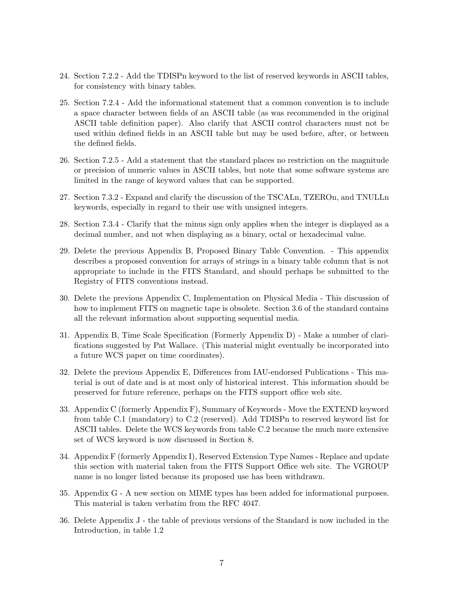- 24. Section 7.2.2 Add the TDISPn keyword to the list of reserved keywords in ASCII tables, for consistency with binary tables.
- 25. Section 7.2.4 Add the informational statement that a common convention is to include a space character between fields of an ASCII table (as was recommended in the original ASCII table definition paper). Also clarify that ASCII control characters must not be used within defined fields in an ASCII table but may be used before, after, or between the defined fields.
- 26. Section 7.2.5 Add a statement that the standard places no restriction on the magnitude or precision of numeric values in ASCII tables, but note that some software systems are limited in the range of keyword values that can be supported.
- 27. Section 7.3.2 Expand and clarify the discussion of the TSCALn, TZEROn, and TNULLn keywords, especially in regard to their use with unsigned integers.
- 28. Section 7.3.4 Clarify that the minus sign only applies when the integer is displayed as a decimal number, and not when displaying as a binary, octal or hexadecimal value.
- 29. Delete the previous Appendix B, Proposed Binary Table Convention. This appendix describes a proposed convention for arrays of strings in a binary table column that is not appropriate to include in the FITS Standard, and should perhaps be submitted to the Registry of FITS conventions instead.
- 30. Delete the previous Appendix C, Implementation on Physical Media This discussion of how to implement FITS on magnetic tape is obsolete. Section 3.6 of the standard contains all the relevant information about supporting sequential media.
- 31. Appendix B, Time Scale Specification (Formerly Appendix D) Make a number of clarifications suggested by Pat Wallace. (This material might eventually be incorporated into a future WCS paper on time coordinates).
- 32. Delete the previous Appendix E, Differences from IAU-endorsed Publications This material is out of date and is at most only of historical interest. This information should be preserved for future reference, perhaps on the FITS support office web site.
- 33. Appendix C (formerly Appendix F), Summary of Keywords Move the EXTEND keyword from table C.1 (mandatory) to C.2 (reserved). Add TDISPn to reserved keyword list for ASCII tables. Delete the WCS keywords from table C.2 because the much more extensive set of WCS keyword is now discussed in Section 8.
- 34. Appendix F (formerly Appendix I), Reserved Extension Type Names Replace and update this section with material taken from the FITS Support Office web site. The VGROUP name is no longer listed because its proposed use has been withdrawn.
- 35. Appendix G A new section on MIME types has been added for informational purposes. This material is taken verbatim from the RFC 4047.
- 36. Delete Appendix J the table of previous versions of the Standard is now included in the Introduction, in table 1.2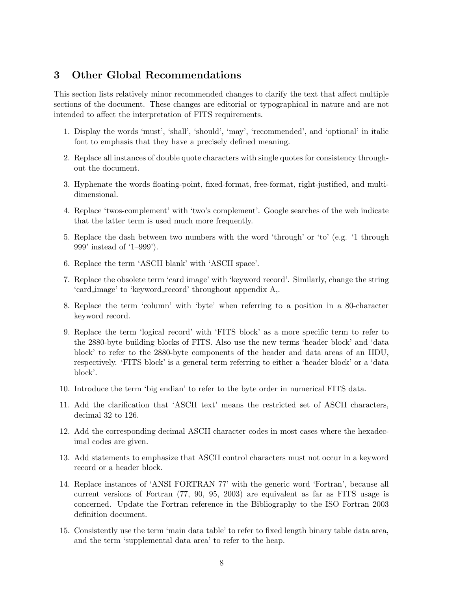## 3 Other Global Recommendations

This section lists relatively minor recommended changes to clarify the text that affect multiple sections of the document. These changes are editorial or typographical in nature and are not intended to affect the interpretation of FITS requirements.

- 1. Display the words 'must', 'shall', 'should', 'may', 'recommended', and 'optional' in italic font to emphasis that they have a precisely defined meaning.
- 2. Replace all instances of double quote characters with single quotes for consistency throughout the document.
- 3. Hyphenate the words floating-point, fixed-format, free-format, right-justified, and multidimensional.
- 4. Replace 'twos-complement' with 'two's complement'. Google searches of the web indicate that the latter term is used much more frequently.
- 5. Replace the dash between two numbers with the word 'through' or 'to' (e.g. '1 through 999' instead of '1–999').
- 6. Replace the term 'ASCII blank' with 'ASCII space'.
- 7. Replace the obsolete term 'card image' with 'keyword record'. Similarly, change the string 'card image' to 'keyword record' throughout appendix A,.
- 8. Replace the term 'column' with 'byte' when referring to a position in a 80-character keyword record.
- 9. Replace the term 'logical record' with 'FITS block' as a more specific term to refer to the 2880-byte building blocks of FITS. Also use the new terms 'header block' and 'data block' to refer to the 2880-byte components of the header and data areas of an HDU, respectively. 'FITS block' is a general term referring to either a 'header block' or a 'data block'.
- 10. Introduce the term 'big endian' to refer to the byte order in numerical FITS data.
- 11. Add the clarification that 'ASCII text' means the restricted set of ASCII characters, decimal 32 to 126.
- 12. Add the corresponding decimal ASCII character codes in most cases where the hexadecimal codes are given.
- 13. Add statements to emphasize that ASCII control characters must not occur in a keyword record or a header block.
- 14. Replace instances of 'ANSI FORTRAN 77' with the generic word 'Fortran', because all current versions of Fortran (77, 90, 95, 2003) are equivalent as far as FITS usage is concerned. Update the Fortran reference in the Bibliography to the ISO Fortran 2003 definition document.
- 15. Consistently use the term 'main data table' to refer to fixed length binary table data area, and the term 'supplemental data area' to refer to the heap.